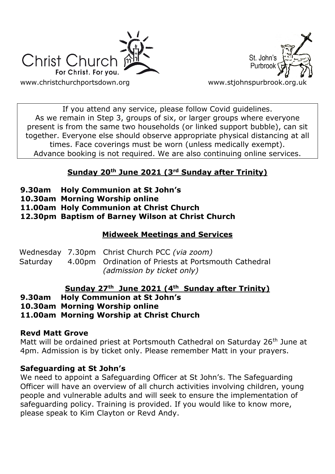



If you attend any service, please follow Covid guidelines. As we remain in Step 3, groups of six, or larger groups where everyone present is from the same two households (or linked support bubble), can sit together. Everyone else should observe appropriate physical distancing at all times. Face coverings must be worn (unless medically exempt). Advance booking is not required. We are also continuing online services.

## **Sunday 20th June 2021 (3rd Sunday after Trinity)**

- **9.30am Holy Communion at St John's**
- **10.30am Morning Worship online**
- **11.00am Holy Communion at Christ Church**

**12.30pm Baptism of Barney Wilson at Christ Church**

### **Midweek Meetings and Services**

|  | Wednesday 7.30pm Christ Church PCC (via zoom)                 |
|--|---------------------------------------------------------------|
|  | Saturday 4.00pm Ordination of Priests at Portsmouth Cathedral |
|  | (admission by ticket only)                                    |

### **Sunday 27th June 2021 (4th Sunday after Trinity)**

**9.30am Holy Communion at St John's**

**10.30am Morning Worship online**

**11.00am Morning Worship at Christ Church**

### **Revd Matt Grove**

Matt will be ordained priest at Portsmouth Cathedral on Saturday 26<sup>th</sup> June at 4pm. Admission is by ticket only. Please remember Matt in your prayers.

### **Safeguarding at St John's**

We need to appoint a Safeguarding Officer at St John's. The Safeguarding Officer will have an overview of all church activities involving children, young people and vulnerable adults and will seek to ensure the implementation of safeguarding policy. Training is provided. If you would like to know more, please speak to Kim Clayton or Revd Andy.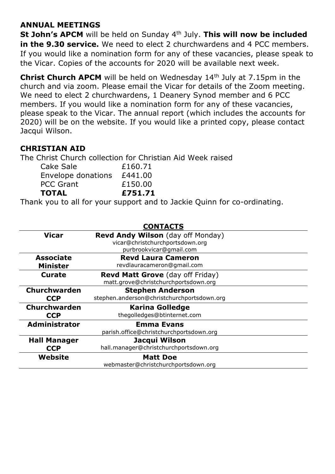#### **ANNUAL MEETINGS**

**St John's APCM** will be held on Sunday 4<sup>th</sup> July. This will now be included **in the 9.30 service.** We need to elect 2 churchwardens and 4 PCC members. If you would like a nomination form for any of these vacancies, please speak to the Vicar. Copies of the accounts for 2020 will be available next week.

**Christ Church APCM** will be held on Wednesday 14<sup>th</sup> July at 7.15pm in the church and via zoom. Please email the Vicar for details of the Zoom meeting. We need to elect 2 churchwardens, 1 Deanery Synod member and 6 PCC members. If you would like a nomination form for any of these vacancies, please speak to the Vicar. The annual report (which includes the accounts for 2020) will be on the website. If you would like a printed copy, please contact Jacqui Wilson.

#### **CHRISTIAN AID**

The Christ Church collection for Christian Aid Week raised

| <b>TOTAL</b>       | £751.71 |
|--------------------|---------|
| <b>PCC Grant</b>   | £150.00 |
| Envelope donations | £441.00 |
| Cake Sale          | £160.71 |

Thank you to all for your support and to Jackie Quinn for co-ordinating.

|                      | <b>CONTACTS</b>                            |
|----------------------|--------------------------------------------|
| <b>Vicar</b>         | <b>Revd Andy Wilson</b> (day off Monday)   |
|                      | vicar@christchurchportsdown.org            |
|                      | purbrookvicar@gmail.com                    |
| <b>Associate</b>     | <b>Revd Laura Cameron</b>                  |
| <b>Minister</b>      | revdlauracameron@gmail.com                 |
| <b>Curate</b>        | <b>Revd Matt Grove</b> (day off Friday)    |
|                      | matt.grove@christchurchportsdown.org       |
| Churchwarden         | <b>Stephen Anderson</b>                    |
| <b>CCP</b>           | stephen.anderson@christchurchportsdown.org |
| <b>Churchwarden</b>  | <b>Karina Golledge</b>                     |
| <b>CCP</b>           | thegolledges@btinternet.com                |
| <b>Administrator</b> | <b>Emma Evans</b>                          |
|                      | parish.office@christchurchportsdown.org    |
| <b>Hall Manager</b>  | Jacqui Wilson                              |
| <b>CCP</b>           | hall.manager@christchurchportsdown.org     |
| Website              | <b>Matt Doe</b>                            |
|                      | webmaster@christchurchportsdown.org        |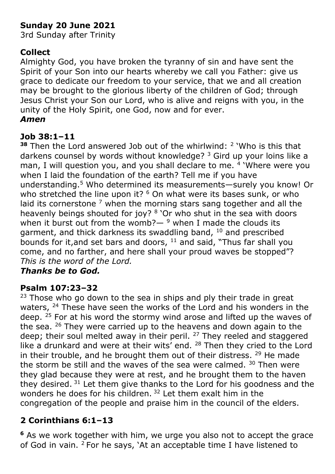# **Sunday 20 June 2021**

3rd Sunday after Trinity

## **Collect**

Almighty God, you have broken the tyranny of sin and have sent the Spirit of your Son into our hearts whereby we call you Father: give us grace to dedicate our freedom to your service, that we and all creation may be brought to the glorious liberty of the children of God; through Jesus Christ your Son our Lord, who is alive and reigns with you, in the unity of the Holy Spirit, one God, now and for ever. *Amen*

## **Job 38:1–11**

**<sup>38</sup>** Then the Lord answered Job out of the whirlwind: <sup>2</sup> 'Who is this that darkens counsel by words without knowledge? <sup>3</sup> Gird up your loins like a man, I will question you, and you shall declare to me. <sup>4</sup> 'Where were you when I laid the foundation of the earth? Tell me if you have understanding.<sup>5</sup> Who determined its measurements—surely you know! Or who stretched the line upon it?  $6$  On what were its bases sunk, or who laid its cornerstone  $<sup>7</sup>$  when the morning stars sang together and all the</sup> heavenly beings shouted for joy? <sup>8</sup> 'Or who shut in the sea with doors when it burst out from the womb? $-$ <sup>9</sup> when I made the clouds its garment, and thick darkness its swaddling band, <sup>10</sup> and prescribed bounds for it, and set bars and doors,  $11$  and said, "Thus far shall you come, and no farther, and here shall your proud waves be stopped"? *This is the word of the Lord.*

## *Thanks be to God.*

## **Psalm 107:23–32**

 $23$  Those who go down to the sea in ships and ply their trade in great waters, <sup>24</sup> These have seen the works of the Lord and his wonders in the deep. <sup>25</sup> For at his word the stormy wind arose and lifted up the waves of the sea. <sup>26</sup> They were carried up to the heavens and down again to the deep; their soul melted away in their peril.  $27$  They reeled and staggered like a drunkard and were at their wits' end. <sup>28</sup> Then they cried to the Lord in their trouble, and he brought them out of their distress.  $29$  He made the storm be still and the waves of the sea were calmed.  $30$  Then were they glad because they were at rest, and he brought them to the haven they desired. <sup>31</sup> Let them give thanks to the Lord for his goodness and the wonders he does for his children.<sup>32</sup> Let them exalt him in the congregation of the people and praise him in the council of the elders.

## **2 Corinthians 6:1–13**

**<sup>6</sup>** As we work together with him, we urge you also not to accept the grace of God in vain. 2 For he says, 'At an acceptable time I have listened to